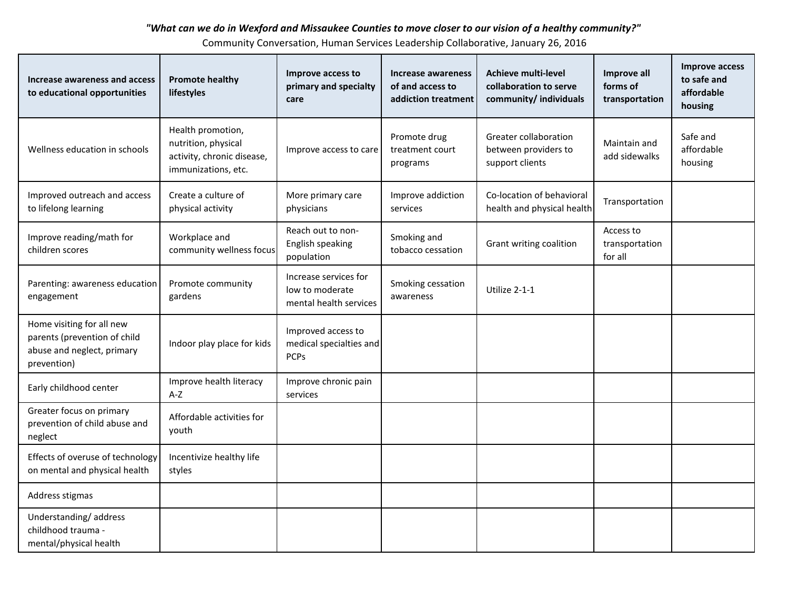## *"What can we do in Wexford and Missaukee Counties to move closer to our vision of a healthy community?"*

Community Conversation, Human Services Leadership Collaborative, January 26, 2016

| Increase awareness and access<br>to educational opportunities                                          | <b>Promote healthy</b><br>lifestyles                                                          | Improve access to<br>primary and specialty<br>care                 | Increase awareness<br>of and access to<br>addiction treatment | <b>Achieve multi-level</b><br>collaboration to serve<br>community/ individuals | Improve all<br>forms of<br>transportation | <b>Improve access</b><br>to safe and<br>affordable<br>housing |
|--------------------------------------------------------------------------------------------------------|-----------------------------------------------------------------------------------------------|--------------------------------------------------------------------|---------------------------------------------------------------|--------------------------------------------------------------------------------|-------------------------------------------|---------------------------------------------------------------|
| Wellness education in schools                                                                          | Health promotion,<br>nutrition, physical<br>activity, chronic disease,<br>immunizations, etc. | Improve access to care                                             | Promote drug<br>treatment court<br>programs                   | Greater collaboration<br>between providers to<br>support clients               | Maintain and<br>add sidewalks             | Safe and<br>affordable<br>housing                             |
| Improved outreach and access<br>to lifelong learning                                                   | Create a culture of<br>physical activity                                                      | More primary care<br>physicians                                    | Improve addiction<br>services                                 | Co-location of behavioral<br>health and physical health                        | Transportation                            |                                                               |
| Improve reading/math for<br>children scores                                                            | Workplace and<br>community wellness focus                                                     | Reach out to non-<br>English speaking<br>population                | Smoking and<br>tobacco cessation                              | Grant writing coalition                                                        | Access to<br>transportation<br>for all    |                                                               |
| Parenting: awareness education<br>engagement                                                           | Promote community<br>gardens                                                                  | Increase services for<br>low to moderate<br>mental health services | Smoking cessation<br>awareness                                | Utilize 2-1-1                                                                  |                                           |                                                               |
| Home visiting for all new<br>parents (prevention of child<br>abuse and neglect, primary<br>prevention) | Indoor play place for kids                                                                    | Improved access to<br>medical specialties and<br><b>PCPs</b>       |                                                               |                                                                                |                                           |                                                               |
| Early childhood center                                                                                 | Improve health literacy<br>$A-Z$                                                              | Improve chronic pain<br>services                                   |                                                               |                                                                                |                                           |                                                               |
| Greater focus on primary<br>prevention of child abuse and<br>neglect                                   | Affordable activities for<br>youth                                                            |                                                                    |                                                               |                                                                                |                                           |                                                               |
| Effects of overuse of technology<br>on mental and physical health                                      | Incentivize healthy life<br>styles                                                            |                                                                    |                                                               |                                                                                |                                           |                                                               |
| Address stigmas                                                                                        |                                                                                               |                                                                    |                                                               |                                                                                |                                           |                                                               |
| Understanding/address<br>childhood trauma -<br>mental/physical health                                  |                                                                                               |                                                                    |                                                               |                                                                                |                                           |                                                               |